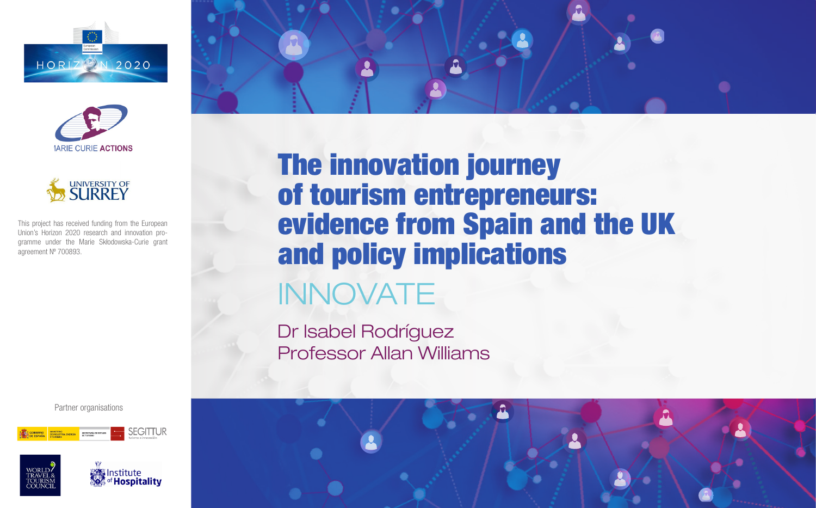





This project has received funding from the European Union's Horizon 2020 research and innovation programme under the Marie Skłodowska-Curie grant agreement Nº 700893.

Partner organisations





**We Institute** of **Hospitality** 



The innovation journey of tourism entrepreneurs: evidence from Spain and the UK and policy implications

# INNOVATE

Dr Isabel Rodríguez Professor Allan Williams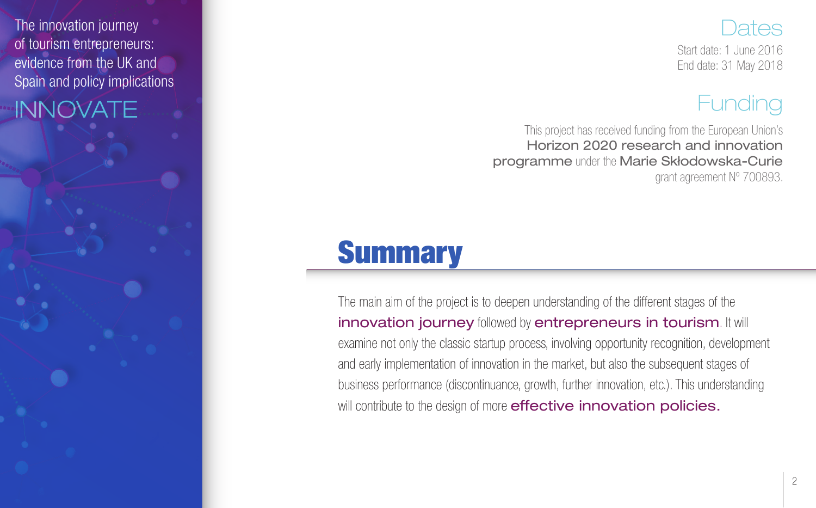

Start date: 1 June 2016 End date: 31 May 2018

### **Funding**

This project has received funding from the European Union's Horizon 2020 research and innovation programme under the Marie Skłodowska-Curie grant agreement Nº 700893.

## **Summary**

The innovation journey of tourism entrepreneurs: evidence from the UK and Spain and policy implications

INNOVATE

The main aim of the project is to deepen understanding of the different stages of the innovation journey followed by entrepreneurs in tourism. It will examine not only the classic startup process, involving opportunity recognition, development and early implementation of innovation in the market, but also the subsequent stages of business performance (discontinuance, growth, further innovation, etc.). This understanding will contribute to the design of more effective innovation policies.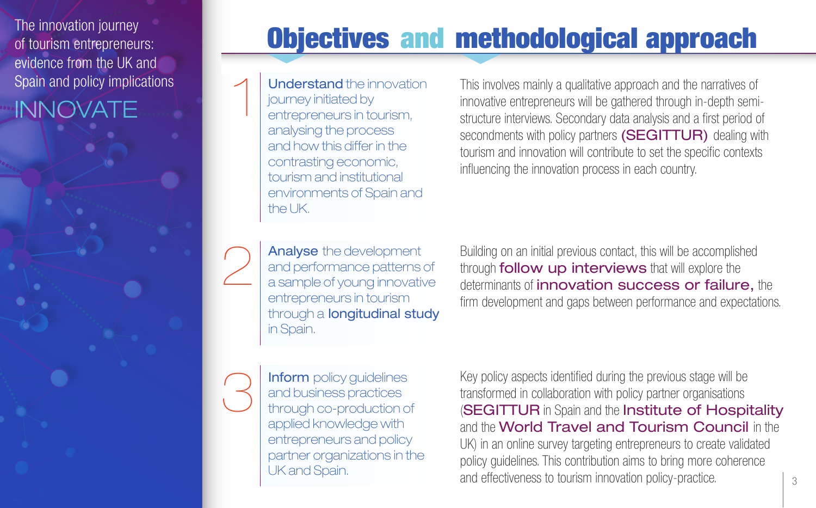The innovation journey of tourism entrepreneurs: evidence from the UK and Spain and policy implications

INNOVATE

Understand the innovation journey initiated by entrepreneurs in tourism, analysing the process and how this differ in the contrasting economic, tourism and institutional environments of Spain and the UK.

1

2

3

This involves mainly a qualitative approach and the narratives of innovative entrepreneurs will be gathered through in-depth semistructure interviews. Secondary data analysis and a first period of secondments with policy partners (SEGITTUR) dealing with tourism and innovation will contribute to set the specific contexts influencing the innovation process in each country.

Objectives and methodological approach

Analyse the development and performance patterns of a sample of young innovative entrepreneurs in tourism through a longitudinal study in Spain.

Building on an initial previous contact, this will be accomplished through **follow up interviews** that will explore the determinants of *innovation* success or failure, the firm development and gaps between performance and expectations.

Inform policy quidelines and business practices through co-production of applied knowledge with entrepreneurs and policy partner organizations in the UK and Spain.

Key policy aspects identified during the previous stage will be transformed in collaboration with policy partner organisations **(SEGITTUR in Spain and the Institute of Hospitality** and the World Travel and Tourism Council in the UK) in an online survey targeting entrepreneurs to create validated policy guidelines. This contribution aims to bring more coherence and effectiveness to tourism innovation policy-practice.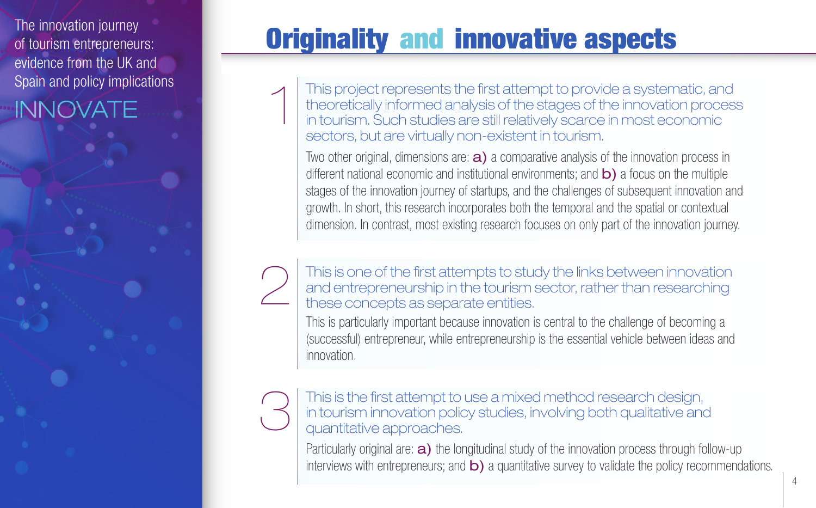The innovation journey of tourism entrepreneurs: evidence from the UK and Spain and policy implications

2

INNOVATE

## Originality and innovative aspects

This project represents the first attempt to provide a systematic, and theoretically informed analysis of the stages of the innovation process in tourism. Such studies are still relatively scarce in most economic sectors, but are virtually non-existent in tourism. 1

Two other original, dimensions are: **a**) a comparative analysis of the innovation process in different national economic and institutional environments; and  $\mathsf{b}$ ) a focus on the multiple stages of the innovation journey of startups, and the challenges of subsequent innovation and growth. In short, this research incorporates both the temporal and the spatial or contextual dimension. In contrast, most existing research focuses on only part of the innovation journey.

### This is one of the first attempts to study the links between innovation and entrepreneurship in the tourism sector, rather than researching these concepts as separate entities.

This is particularly important because innovation is central to the challenge of becoming a (successful) entrepreneur, while entrepreneurship is the essential vehicle between ideas and innovation.

#### This is the first attempt to use a mixed method research design, in tourism innovation policy studies, involving both qualitative and quantitative approaches. 3

Particularly original are:  $a)$  the longitudinal study of the innovation process through follow-up interviews with entrepreneurs; and **b**) a quantitative survey to validate the policy recommendations.